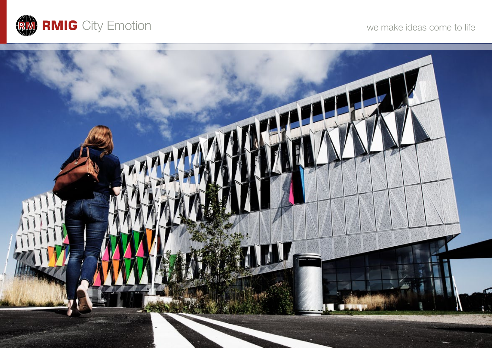

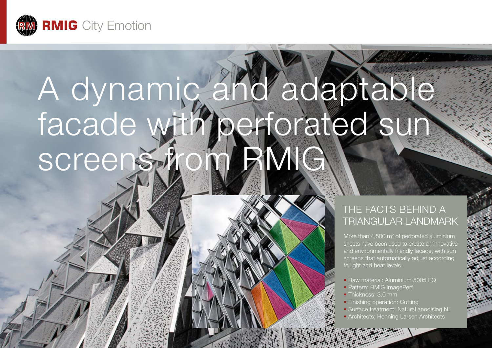

# A dynamic and adaptable facade with perforated sun screens f

## THE FACTS BEHIND A triangular landmark

More than  $4,500 \text{ m}^2$  of perforated aluminium sheets have been used to create an innovative and environmentally friendly facade, with sun screens that automatically adjust according to light and heat levels.

- Raw material: Aluminium 5005 EQ
- Pattern: RMIG ImagePerf
- Thickness: 3.0 mm
- Finishing operation: Cutting
- Surface treatment: Natural anodising N1
- Architects: Henning Larsen Architects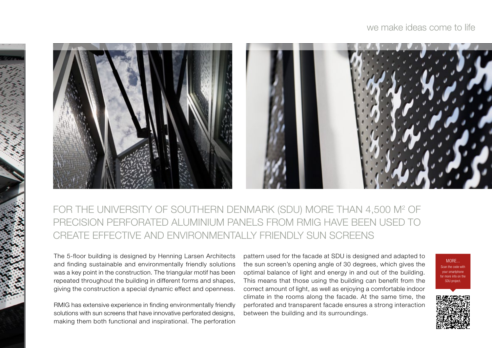

## FOR THE UNIVERSITY OF SOUTHERN DENMARK (SDU) MORE THAN 4,500 M<del>2</del> OF precision perforated aluminium panels from RMIG have been used to create effective and environmentally friendly sun screens

The 5-floor building is designed by Henning Larsen Architects and finding sustainable and environmentally friendly solutions was a key point in the construction. The triangular motif has been repeated throughout the building in different forms and shapes, giving the construction a special dynamic effect and openness.

RMIG has extensive experience in finding environmentally friendly solutions with sun screens that have innovative perforated designs, making them both functional and inspirational. The perforation pattern used for the facade at SDU is designed and adapted to the sun screen's opening angle of 30 degrees, which gives the optimal balance of light and energy in and out of the building. This means that those using the building can benefit from the correct amount of light, as well as enjoying a comfortable indoor climate in the rooms along the facade. At the same time, the perforated and transparent facade ensures a strong interaction between the building and its surroundings.

MORE... Scan the code with your smartphone for more info on the SDU project.